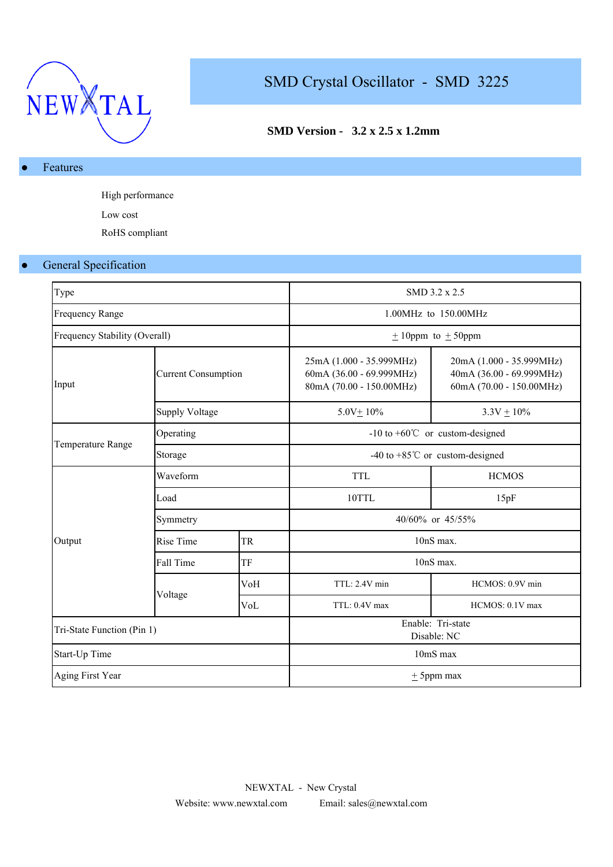

# SMD Crystal Oscillator - SMD 3225

## **SMD Version - 3.2 x 2.5 x 1.2mm**

#### Features

High performance Low cost RoHS compliant

#### ● General Specification

| Type                          |                            |           |                                                                                  | SMD 3.2 x 2.5                                                                    |  |  |  |  |
|-------------------------------|----------------------------|-----------|----------------------------------------------------------------------------------|----------------------------------------------------------------------------------|--|--|--|--|
| <b>Frequency Range</b>        |                            |           |                                                                                  | 1.00MHz to 150.00MHz                                                             |  |  |  |  |
| Frequency Stability (Overall) |                            |           |                                                                                  | $\pm$ 10ppm to $\pm$ 50ppm                                                       |  |  |  |  |
| Input                         | <b>Current Consumption</b> |           | 25mA (1.000 - 35.999MHz)<br>60mA (36.00 - 69.999MHz)<br>80mA (70.00 - 150.00MHz) | 20mA (1.000 - 35.999MHz)<br>40mA (36.00 - 69.999MHz)<br>60mA (70.00 - 150.00MHz) |  |  |  |  |
|                               | <b>Supply Voltage</b>      |           | $5.0V + 10%$                                                                     | $3.3V + 10\%$                                                                    |  |  |  |  |
|                               | Operating                  |           | $-10$ to $+60^{\circ}$ or custom-designed                                        |                                                                                  |  |  |  |  |
| Temperature Range             | Storage                    |           | -40 to +85 $^{\circ}$ C or custom-designed                                       |                                                                                  |  |  |  |  |
|                               | Waveform                   |           | <b>TTL</b>                                                                       | <b>HCMOS</b>                                                                     |  |  |  |  |
|                               | Load                       |           | 10TTL                                                                            | 15pF                                                                             |  |  |  |  |
|                               | Symmetry                   |           | 40/60% or 45/55%                                                                 |                                                                                  |  |  |  |  |
| Output                        | Rise Time                  | <b>TR</b> | $10nS$ max.                                                                      |                                                                                  |  |  |  |  |
|                               | Fall Time                  | TF        | 10nS max.                                                                        |                                                                                  |  |  |  |  |
|                               |                            | VoH       | TTL: 2.4V min                                                                    | HCMOS: 0.9V min                                                                  |  |  |  |  |
|                               | Voltage<br>VoL             |           | TTL: 0.4V max                                                                    | HCMOS: 0.1V max                                                                  |  |  |  |  |
| Tri-State Function (Pin 1)    |                            |           | Enable: Tri-state<br>Disable: NC                                                 |                                                                                  |  |  |  |  |
| Start-Up Time                 |                            |           | 10mS max                                                                         |                                                                                  |  |  |  |  |
| Aging First Year              |                            |           |                                                                                  | $\pm$ 5ppm max                                                                   |  |  |  |  |
|                               |                            |           |                                                                                  |                                                                                  |  |  |  |  |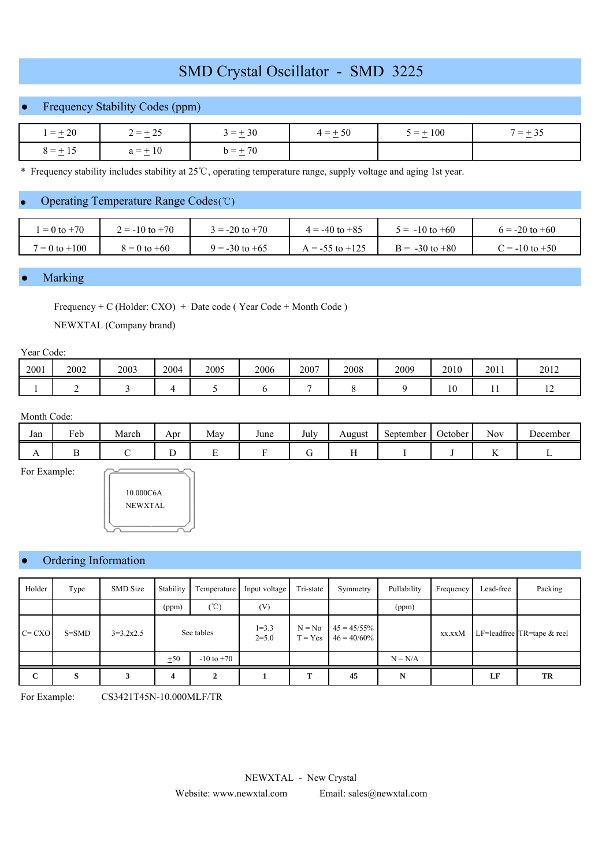# SMD Crystal Oscillator - SMD 3225

## ● Frequency Stability Codes (ppm)

| $=\pm 20$    | $2 = \pm 25$<br><b>A</b> | $3 = +30$                   | $4 = \pm 50$ | $5 = \pm 100$ | $7 = +35$ |  |
|--------------|--------------------------|-----------------------------|--------------|---------------|-----------|--|
| $8 = \pm 15$ | $= + 10$<br>$a = +$      | $h = +70$<br>. <u>. .</u> . |              |               |           |  |

\* Frequency stability includes stability at 25 ℃, operating temperature range, supply voltage and aging 1st year.

#### ● Operating Temperature Range Codes (℃)

| $= 0$ to $+70$    | $2 = -10$ to $+70$ | $= -20$ to $+70$   | $4 = -40$ to $+85$  | $5 = -10$ to $+60$ | $6 = -20$ to $+60$ |
|-------------------|--------------------|--------------------|---------------------|--------------------|--------------------|
| $7 = 0$ to $+100$ | $8 = 0$ to $+60$   | $9 = -30$ to $+65$ | $A = -55$ to $+125$ | $B = -30$ to $+80$ | $C = -10$ to $+50$ |

#### **Marking**

Frequency + C (Holder: CXO) + Date code ( Year Code + Month Code ) NEWXTAL (Company brand)

#### Year Code:

| 2001 | 2002 | 2003 | 2004 | 2005 | 2006 | 2007 | 2008 | 2009 | 2010              | 2011 | 2012 |
|------|------|------|------|------|------|------|------|------|-------------------|------|------|
|      |      |      |      |      |      |      |      |      | $1 \Omega$<br>1 U | . .  | --   |

#### Month Code:

| Jan            | $\mathbf{r}$<br>Feb | March | Apr | May | June | $\mathbf{r}$ 1<br>July | August | September | October | - -<br>Nov              | December |
|----------------|---------------------|-------|-----|-----|------|------------------------|--------|-----------|---------|-------------------------|----------|
| $\overline{1}$ |                     |       |     | ∸   |      |                        | . .    |           |         | $\overline{\mathbf{r}}$ |          |

For Example:



#### Ordering Information

| Holder      | Type      | <b>SMD</b> Size | Stability  | Temperature    | Input voltage          | Tri-state             | Symmetry                         | Pullability | Frequency | Lead-free | Packing                    |
|-------------|-----------|-----------------|------------|----------------|------------------------|-----------------------|----------------------------------|-------------|-----------|-----------|----------------------------|
|             |           |                 | (ppm)      | $^{\circ}$ C)  | (V)                    |                       |                                  | (ppm)       |           |           |                            |
| $C = CXO$   | $S = SMD$ | $3=3.2x2.5$     | See tables |                | $1 = 3.3$<br>$2 = 5.0$ | $N = No$<br>$T = Yes$ | $45 = 45/55\%$<br>$46 = 40/60\%$ |             | xx.xxM    |           | LF=leadfree TR=tape & reel |
|             |           |                 | ±50        | $-10$ to $+70$ |                        |                       |                                  | $N = N/A$   |           |           |                            |
| $\mathbf C$ | S         |                 | 4          |                |                        | т                     | 45                               | N           |           | LF        | TR                         |

For Example: CS3421T45N-10.000MLF/TR